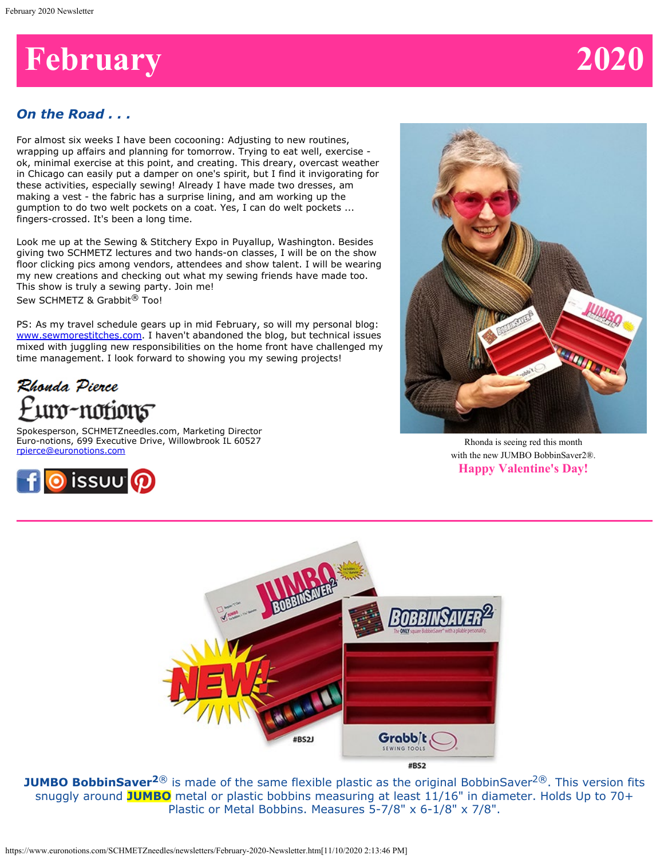# **February 2020**

# *On the Road . . .*

For almost six weeks I have been cocooning: Adjusting to new routines, wrapping up affairs and planning for tomorrow. Trying to eat well, exercise ok, minimal exercise at this point, and creating. This dreary, overcast weather in Chicago can easily put a damper on one's spirit, but I find it invigorating for these activities, especially sewing! Already I have made two dresses, am making a vest - the fabric has a surprise lining, and am working up the gumption to do two welt pockets on a coat. Yes, I can do welt pockets ... fingers-crossed. It's been a long time.

Look me up at the Sewing & Stitchery Expo in Puyallup, Washington. Besides giving two SCHMETZ lectures and two hands-on classes, I will be on the show floor clicking pics among vendors, attendees and show talent. I will be wearing my new creations and checking out what my sewing friends have made too. This show is truly a sewing party. Join me! Sew SCHMETZ & Grabbit<sup>®</sup> Too!

PS: As my travel schedule gears up in mid February, so will my personal blog: [www.sewmorestitches.com](http://www.sewmorestitches.com/). I haven't abandoned the blog, but technical issues mixed with juggling new responsibilities on the home front have challenged my time management. I look forward to showing you my sewing projects!

# Rhonda Pierce uro-notion<del>s</del>

Spokesperson, SCHMETZneedles.com, Marketing Director Euro-notions, 699 Executive Drive, Willowbrook IL 60527 [rpierce@euronotions.com](mailto:rpierce@euronotions.com)





Rhonda is seeing red this month with the new JUMBO BobbinSaver2®. **Happy Valentine's Day!**



**JUMBO BobbinSaver<sup>2®</sup>** is made of the same flexible plastic as the original BobbinSaver<sup>2®</sup>. This version fits snuggly around **JUMBO** metal or plastic bobbins measuring at least 11/16" in diameter. Holds Up to 70+ Plastic or Metal Bobbins. Measures 5-7/8" x 6-1/8" x 7/8".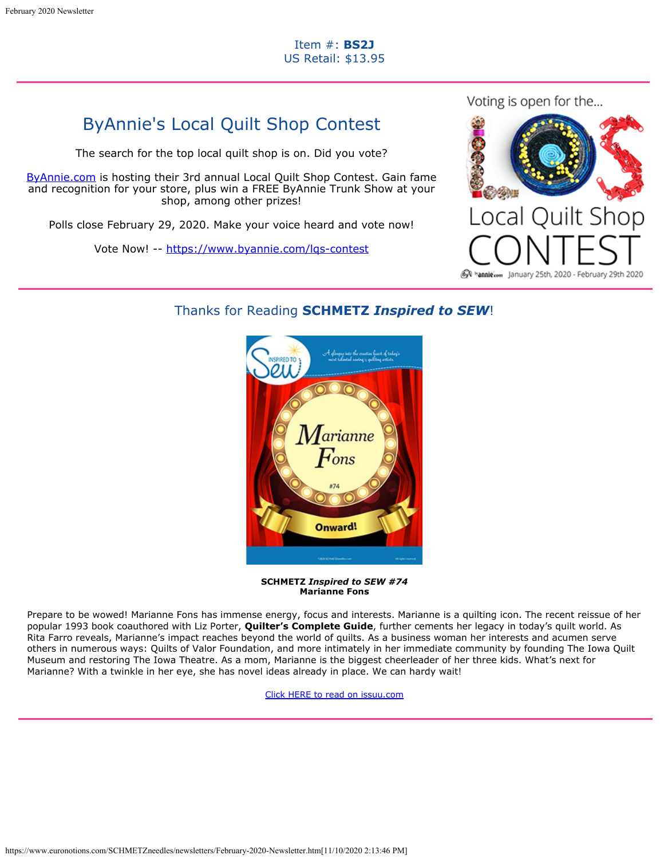# ByAnnie's Local Quilt Shop Contest

The search for the top local quilt shop is on. Did you vote?

[ByAnnie.com](https://www.byannie.com/lqs-contest) is hosting their 3rd annual Local Quilt Shop Contest. Gain fame and recognition for your store, plus win a FREE ByAnnie Trunk Show at your shop, among other prizes!

Polls close February 29, 2020. Make your voice heard and vote now!

Vote Now! -- <https://www.byannie.com/lqs-contest>



# Thanks for Reading **SCHMETZ** *Inspired to SEW*!



**SCHMETZ** *Inspired to SEW #74* **Marianne Fons**

Prepare to be wowed! Marianne Fons has immense energy, focus and interests. Marianne is a quilting icon. The recent reissue of her popular 1993 book coauthored with Liz Porter, **Quilter's Complete Guide**, further cements her legacy in today's quilt world. As Rita Farro reveals, Marianne's impact reaches beyond the world of quilts. As a business woman her interests and acumen serve others in numerous ways: Quilts of Valor Foundation, and more intimately in her immediate community by founding The Iowa Quilt Museum and restoring The Iowa Theatre. As a mom, Marianne is the biggest cheerleader of her three kids. What's next for Marianne? With a twinkle in her eye, she has novel ideas already in place. We can hardy wait!

[Click HERE to read on issuu.com](https://issuu.com/schmetzneedles/docs/its74-feb20?fr=sNzg5ZjE3NTM3)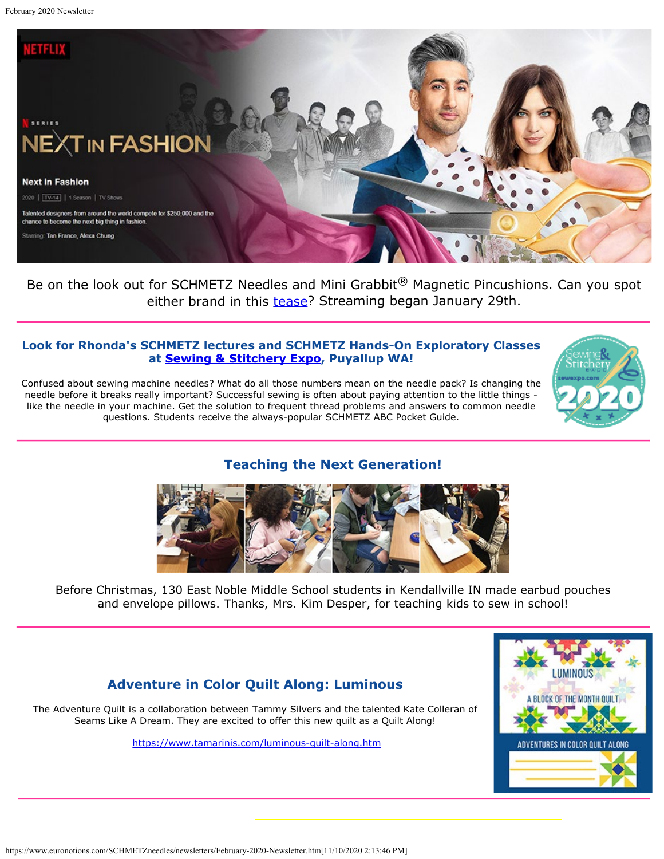

Be on the look out for SCHMETZ Needles and Mini Grabbit<sup>®</sup> Magnetic Pincushions. Can you spot either brand in this [tease](https://www.netflix.com/TITLE/81026300)? Streaming began January 29th.

# **Look for Rhonda's SCHMETZ lectures and SCHMETZ Hands-On Exploratory Classes at [Sewing & Stitchery Expo](https://sewexpo.com/), Puyallup WA!**

Confused about sewing machine needles? What do all those numbers mean on the needle pack? Is changing the needle before it breaks really important? Successful sewing is often about paying attention to the little things like the needle in your machine. Get the solution to frequent thread problems and answers to common needle questions. Students receive the always-popular SCHMETZ ABC Pocket Guide.



**Teaching the Next Generation!**



Before Christmas, 130 East Noble Middle School students in Kendallville IN made earbud pouches and envelope pillows. Thanks, Mrs. Kim Desper, for teaching kids to sew in school!

# **Adventure in Color Quilt Along: Luminous**

The Adventure Quilt is a collaboration between Tammy Silvers and the talented Kate Colleran of Seams Like A Dream. They are excited to offer this new quilt as a Quilt Along!

<https://www.tamarinis.com/luminous-quilt-along.htm>

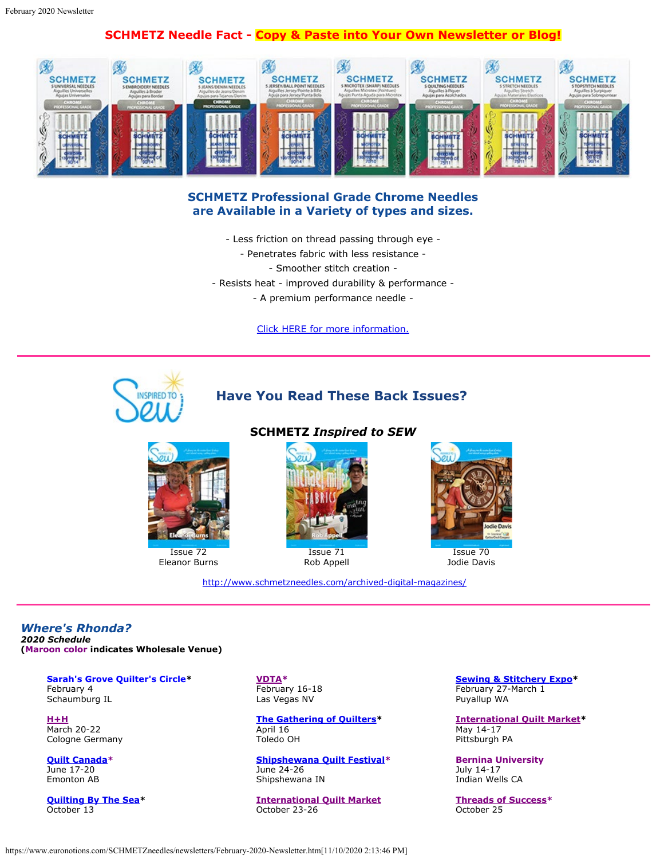# **SCHMETZ Needle Fact - Copy & Paste into Your Own Newsletter or Blog!**



### **SCHMETZ Professional Grade Chrome Needles are Available in a Variety of types and sizes.**

- Less friction on thread passing through eye
	- Penetrates fabric with less resistance
		- Smoother stitch creation -
- Resists heat improved durability & performance
	- A premium performance needle -

[Click HERE for more information.](https://www.schmetzneedles.com/category/SCHMETZ-Chrome-Professional-Household-Needles-Carded-37)



# **Have You Read These Back Issues?**



Issue 72 Eleanor Burns

#### **SCHMETZ** *Inspired to SEW*



Issue 71 Rob Appell

<http://www.schmetzneedles.com/archived-digital-magazines/>



Issue 70 Jodie Davis

*Where's Rhonda? 2020 Schedule* **(Maroon color indicates Wholesale Venue)**

> **Sarah's Grove Quilter's Circle\*** February 4 Schaumburg IL

**[H+H](http://www.hh-cologne.com/)** March 20-22 Cologne Germany

**[Quilt Canada](https://canadianquilter.com/quilt-canada-2020/)\*** June 17-20 Emonton AB

**[Quilting By The Sea](http://www.quiltguildbythesea.com/)\*** October 13

**[VDTA](https://www.vdta.com/2020%20Las%20Vegas%20Convention%20page.html)\*** February 16-18 Las Vegas NV

**[The Gathering of Quilters](https://gatheringofquilters.wixsite.com/gatheringofquilters)\*** April 16 Toledo OH

**[Shipshewana Quilt Festival](https://www.shipshewanaquiltfest.com/)\*** June 24-26 Shipshewana IN

**[International Quilt Market](https://www.quilts.com/quilt-market-houston.html)** October 23-26

**[Sewing & Stitchery Expo](https://sewexpo.com/)\*** February 27-March 1 Puyallup WA

**[International Quilt Market](https://quilts.com/quilt-market-pittsburgh.html)\*** May 14-17 Pittsburgh PA

**Bernina University** July 14-17 Indian Wells CA

**[Threads of Success](https://www.threads-of-success.com/)\*** October 25

#### https://www.euronotions.com/SCHMETZneedles/newsletters/February-2020-Newsletter.htm[11/10/2020 2:13:46 PM]